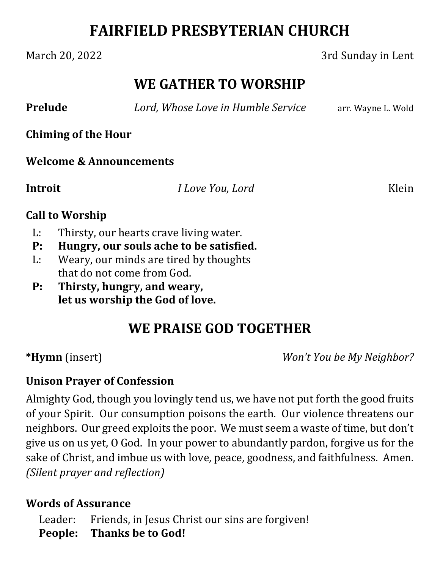# **FAIRFIELD PRESBYTERIAN CHURCH**

## March 20, 2022 3rd Sunday in Lent

## **WE GATHER TO WORSHIP**

**Prelude** *<i>Lord, Whose Love in Humble Service* arr. Wayne L. Wold

**Chiming of the Hour**

#### **Welcome & Announcements**

**Introit** *I Love You, Lord* Klein

### **Call to Worship**

- L: Thirsty, our hearts crave living water.
- **P: Hungry, our souls ache to be satisfied.**
- L: Weary, our minds are tired by thoughts that do not come from God.
- **P: Thirsty, hungry, and weary, let us worship the God of love.**

# **WE PRAISE GOD TOGETHER**

**\*Hymn** (insert) *Won't You be My Neighbor?*

## **Unison Prayer of Confession**

Almighty God, though you lovingly tend us, we have not put forth the good fruits of your Spirit. Our consumption poisons the earth. Our violence threatens our neighbors. Our greed exploits the poor. We must seem a waste of time, but don't give us on us yet, O God. In your power to abundantly pardon, forgive us for the sake of Christ, and imbue us with love, peace, goodness, and faithfulness. Amen. *(Silent prayer and reflection)*

## **Words of Assurance**

Leader: Friends, in Jesus Christ our sins are forgiven! **People: Thanks be to God!**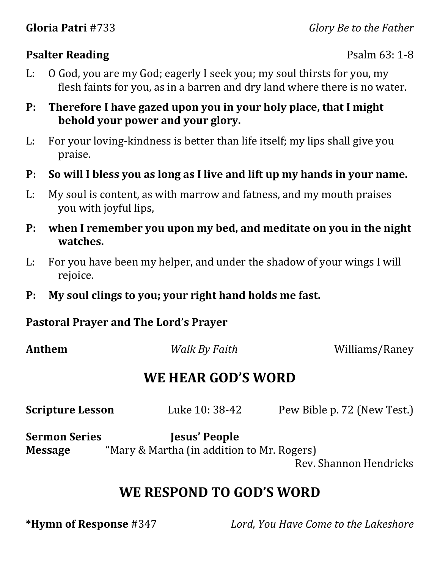## **Psalter Reading** Psalm 63: 1-8

- L: O God, you are my God; eagerly I seek you; my soul thirsts for you, my flesh faints for you, as in a barren and dry land where there is no water.
- **P: Therefore I have gazed upon you in your holy place, that I might behold your power and your glory.**
- L: For your loving-kindness is better than life itself; my lips shall give you praise.
- **P: So will I bless you as long as I live and lift up my hands in your name.**
- L: My soul is content, as with marrow and fatness, and my mouth praises you with joyful lips,
- **P: when I remember you upon my bed, and meditate on you in the night watches.**
- L: For you have been my helper, and under the shadow of your wings I will rejoice.
- **P: My soul clings to you; your right hand holds me fast.**

## **Pastoral Prayer and The Lord's Prayer**

**Anthem** *Walk By Faith Williams/Raney* 

# **WE HEAR GOD'S WORD**

| <b>Scripture Lesson</b> | Luke 10: 38-42                             | Pew Bible p. 72 (New Test.) |
|-------------------------|--------------------------------------------|-----------------------------|
| <b>Sermon Series</b>    | Jesus' People                              |                             |
| <b>Message</b>          | "Mary & Martha (in addition to Mr. Rogers) |                             |

Rev. Shannon Hendricks

# **WE RESPOND TO GOD'S WORD**

**\*Hymn of Response** #347 *Lord, You Have Come to the Lakeshore*